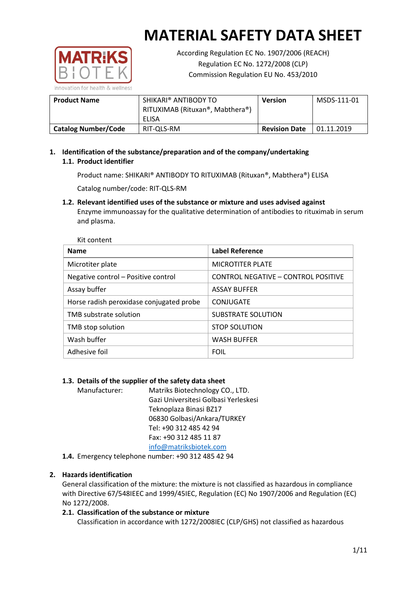

According Regulation EC No. 1907/2006 (REACH) Regulation EC No. 1272/2008 (CLP) Commission Regulation EU No. 453/2010

| <b>Product Name</b>        | SHIKARI® ANTIBODY TO<br>RITUXIMAB (Rituxan®, Mabthera®)<br>ELISA | <b>Version</b>       | MSDS-111-01 |
|----------------------------|------------------------------------------------------------------|----------------------|-------------|
| <b>Catalog Number/Code</b> | RIT-QLS-RM                                                       | <b>Revision Date</b> | 01.11.2019  |

## **1. Identification of the substance/preparation and of the company/undertaking 1.1. Product identifier**

Product name: SHIKARI® ANTIBODY TO RITUXIMAB (Rituxan®, Mabthera®) ELISA

Catalog number/code: RIT-QLS-RM

**1.2. Relevant identified uses of the substance or mixture and uses advised against** Enzyme immunoassay for the qualitative determination of antibodies to rituximab in serum and plasma.

| Kit content                              |                                     |  |  |  |
|------------------------------------------|-------------------------------------|--|--|--|
| <b>Name</b>                              | Label Reference                     |  |  |  |
| Microtiter plate                         | <b>MICROTITER PLATE</b>             |  |  |  |
| Negative control - Positive control      | CONTROL NEGATIVE - CONTROL POSITIVE |  |  |  |
| Assay buffer                             | <b>ASSAY BUFFER</b>                 |  |  |  |
| Horse radish peroxidase conjugated probe | CONJUGATE                           |  |  |  |
| TMB substrate solution                   | <b>SUBSTRATE SOLUTION</b>           |  |  |  |
| TMB stop solution                        | <b>STOP SOLUTION</b>                |  |  |  |
| Wash buffer                              | <b>WASH BUFFER</b>                  |  |  |  |
| Adhesive foil                            | <b>FOIL</b>                         |  |  |  |

## **1.3. Details of the supplier of the safety data sheet**

Manufacturer: Matriks Biotechnology CO., LTD. Gazi Universitesi Golbasi Yerleskesi Teknoplaza Binasi BZ17 06830 Golbasi/Ankara/TURKEY Tel: +90 312 485 42 94 Fax: +90 312 485 11 87 [info@matriksbiotek.com](mailto:info@matriksbiotek.com)

**1.4.** Emergency telephone number: +90 312 485 42 94

## **2. Hazards identification**

General classification of the mixture: the mixture is not classified as hazardous in compliance with Directive 67/548IEEC and 1999/45IEC, Regulation (EC) No 1907/2006 and Regulation (EC) No 1272/2008.

## **2.1. Classification of the substance or mixture**

Classification in accordance with 1272/2008IEC (CLP/GHS) not classified as hazardous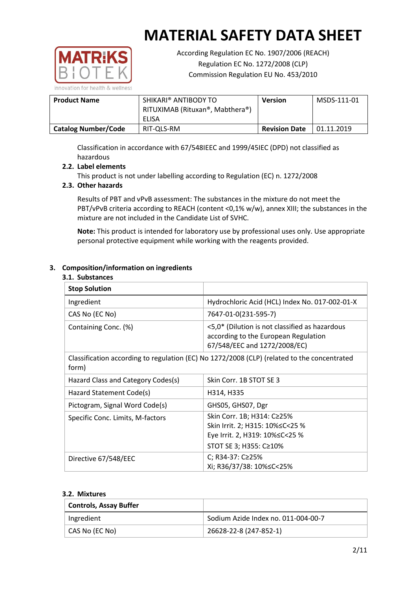

According Regulation EC No. 1907/2006 (REACH) Regulation EC No. 1272/2008 (CLP) Commission Regulation EU No. 453/2010

| <b>Product Name</b>        | SHIKARI® ANTIBODY TO<br>RITUXIMAB (Rituxan®, Mabthera®)<br>ELISA | <b>Version</b>       | MSDS-111-01 |
|----------------------------|------------------------------------------------------------------|----------------------|-------------|
|                            |                                                                  |                      |             |
| <b>Catalog Number/Code</b> | RIT-QLS-RM                                                       | <b>Revision Date</b> | 01.11.2019  |

Classification in accordance with 67/548IEEC and 1999/45IEC (DPD) not classified as hazardous

## **2.2. Label elements**

This product is not under labelling according to Regulation (EC) n. 1272/2008

## **2.3. Other hazards**

Results of PBT and vPvB assessment: The substances in the mixture do not meet the PBT/vPvB criteria according to REACH (content <0,1% w/w), annex XIII; the substances in the mixture are not included in the Candidate List of SVHC.

**Note:** This product is intended for laboratory use by professional uses only. Use appropriate personal protective equipment while working with the reagents provided.

## **3. Composition/information on ingredients**

#### **3.1. Substances**

| <b>Stop Solution</b>               |                                                                                                                               |
|------------------------------------|-------------------------------------------------------------------------------------------------------------------------------|
| Ingredient                         | Hydrochloric Acid (HCL) Index No. 017-002-01-X                                                                                |
| CAS No (EC No)                     | 7647-01-0(231-595-7)                                                                                                          |
| Containing Conc. (%)               | <5,0* (Dilution is not classified as hazardous<br>according to the European Regulation<br>67/548/EEC and 1272/2008/EC)        |
| form)                              | Classification according to regulation (EC) No 1272/2008 (CLP) (related to the concentrated                                   |
| Hazard Class and Category Codes(s) | Skin Corr. 1B STOT SE 3                                                                                                       |
| Hazard Statement Code(s)           | H314, H335                                                                                                                    |
| Pictogram, Signal Word Code(s)     | GHS05, GHS07, Dgr                                                                                                             |
| Specific Conc. Limits, M-factors   | Skin Corr. 1B; H314: C≥25%<br>Skin Irrit. 2; H315: 10% ≤ C < 25 %<br>Eye Irrit. 2, H319: 10%≤C<25 %<br>STOT SE 3; H355: C≥10% |
| Directive 67/548/EEC               | C; R34-37: C≥25%<br>Xi; R36/37/38: 10%≤C<25%                                                                                  |

#### **3.2. Mixtures**

| <b>Controls, Assay Buffer</b> |                                     |
|-------------------------------|-------------------------------------|
| Ingredient                    | Sodium Azide Index no. 011-004-00-7 |
| CAS No (EC No)                | 26628-22-8 (247-852-1)              |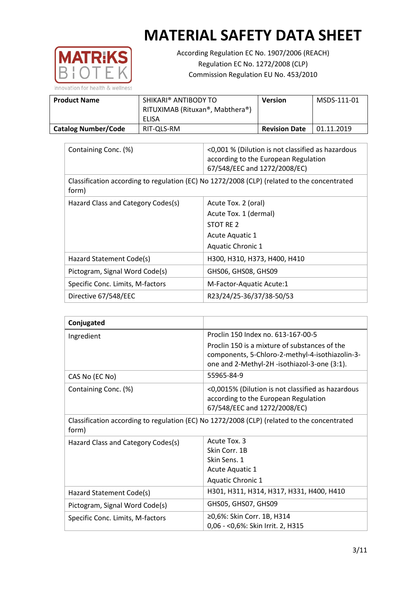

According Regulation EC No. 1907/2006 (REACH) Regulation EC No. 1272/2008 (CLP) Commission Regulation EU No. 453/2010

| <b>Product Name</b>        | SHIKARI® ANTIBODY TO<br>RITUXIMAB (Rituxan®, Mabthera®)<br>ELISA | Version              | MSDS-111-01 |
|----------------------------|------------------------------------------------------------------|----------------------|-------------|
| <b>Catalog Number/Code</b> | RIT-QLS-RM                                                       | <b>Revision Date</b> | 01.11.2019  |

| Containing Conc. (%)                                                                                 | <0,001 % (Dilution is not classified as hazardous<br>according to the European Regulation<br>67/548/EEC and 1272/2008/EC) |
|------------------------------------------------------------------------------------------------------|---------------------------------------------------------------------------------------------------------------------------|
| Classification according to regulation (EC) No 1272/2008 (CLP) (related to the concentrated<br>form) |                                                                                                                           |
| Hazard Class and Category Codes(s)                                                                   | Acute Tox. 2 (oral)                                                                                                       |
|                                                                                                      | Acute Tox. 1 (dermal)                                                                                                     |
|                                                                                                      | STOT RE 2                                                                                                                 |
|                                                                                                      | Acute Aquatic 1                                                                                                           |
|                                                                                                      | <b>Aquatic Chronic 1</b>                                                                                                  |
| Hazard Statement Code(s)                                                                             | H300, H310, H373, H400, H410                                                                                              |
| Pictogram, Signal Word Code(s)                                                                       | GHS06, GHS08, GHS09                                                                                                       |
| Specific Conc. Limits, M-factors                                                                     | M-Factor-Aquatic Acute:1                                                                                                  |
| Directive 67/548/EEC                                                                                 | R23/24/25-36/37/38-50/53                                                                                                  |

| Conjugated                                                                                           |                                                                                                                                                  |
|------------------------------------------------------------------------------------------------------|--------------------------------------------------------------------------------------------------------------------------------------------------|
| Ingredient                                                                                           | Proclin 150 Index no. 613-167-00-5                                                                                                               |
|                                                                                                      | Proclin 150 is a mixture of substances of the<br>components, 5-Chloro-2-methyl-4-isothiazolin-3-<br>one and 2-Methyl-2H -isothiazol-3-one (3:1). |
| CAS No (EC No)                                                                                       | 55965-84-9                                                                                                                                       |
| Containing Conc. (%)                                                                                 | <0,0015% (Dilution is not classified as hazardous<br>according to the European Regulation<br>67/548/EEC and 1272/2008/EC)                        |
| Classification according to regulation (EC) No 1272/2008 (CLP) (related to the concentrated<br>form) |                                                                                                                                                  |
| Hazard Class and Category Codes(s)                                                                   | Acute Tox, 3                                                                                                                                     |
|                                                                                                      | Skin Corr. 1B                                                                                                                                    |
|                                                                                                      | Skin Sens. 1                                                                                                                                     |
|                                                                                                      | <b>Acute Aquatic 1</b>                                                                                                                           |
|                                                                                                      | <b>Aquatic Chronic 1</b>                                                                                                                         |
| Hazard Statement Code(s)                                                                             | H301, H311, H314, H317, H331, H400, H410                                                                                                         |
| Pictogram, Signal Word Code(s)                                                                       | GHS05, GHS07, GHS09                                                                                                                              |
| Specific Conc. Limits, M-factors                                                                     | ≥0,6%: Skin Corr. 1B, H314<br>0,06 - < 0,6%: Skin Irrit. 2, H315                                                                                 |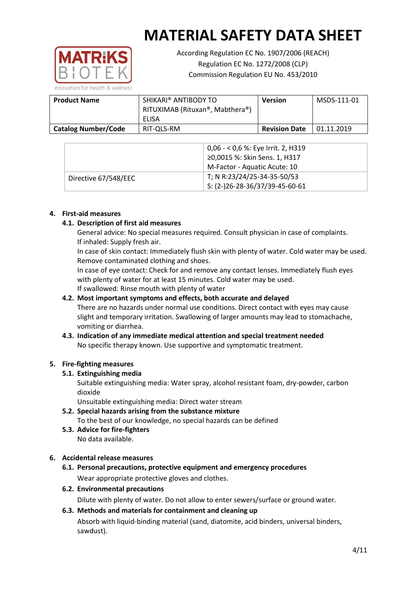

According Regulation EC No. 1907/2006 (REACH) Regulation EC No. 1272/2008 (CLP) Commission Regulation EU No. 453/2010

**Product Name SHIKARI® ANTIBODY TO** RITUXIMAB (Rituxan®, Mabthera®) ELISA **Version** MSDS-111-01 **Catalog Number/Code** RIT-QLS-RM Revision Date 01.11.2019

|                      | 0,06 - < 0,6 %: Eye Irrit. 2, H319<br>≥0,0015 %: Skin Sens. 1, H317<br>M-Factor - Aquatic Acute: 10 |
|----------------------|-----------------------------------------------------------------------------------------------------|
| Directive 67/548/EEC | T; N R:23/24/25-34-35-50/53<br>$S: (2-)26-28-36/37/39-45-60-61$                                     |

## **4. First-aid measures**

## **4.1. Description of first aid measures**

General advice: No special measures required. Consult physician in case of complaints. If inhaled: Supply fresh air.

In case of skin contact: Immediately flush skin with plenty of water. Cold water may be used. Remove contaminated clothing and shoes.

In case of eye contact: Check for and remove any contact lenses. Immediately flush eyes with plenty of water for at least 15 minutes. Cold water may be used. If swallowed: Rinse mouth with plenty of water

## **4.2. Most important symptoms and effects, both accurate and delayed**

There are no hazards under normal use conditions. Direct contact with eyes may cause slight and temporary irritation. Swallowing of larger amounts may lead to stomachache, vomiting or diarrhea.

## **4.3. Indication of any immediate medical attention and special treatment needed** No specific therapy known. Use supportive and symptomatic treatment.

## **5. Fire-fighting measures**

## **5.1. Extinguishing media**

Suitable extinguishing media: Water spray, alcohol resistant foam, dry-powder, carbon dioxide

Unsuitable extinguishing media: Direct water stream

- **5.2. Special hazards arising from the substance mixture** To the best of our knowledge, no special hazards can be defined
- **5.3. Advice for fire-fighters** No data available.

## **6. Accidental release measures**

- **6.1. Personal precautions, protective equipment and emergency procedures** Wear appropriate protective gloves and clothes.
- **6.2. Environmental precautions**

Dilute with plenty of water. Do not allow to enter sewers/surface or ground water.

## **6.3. Methods and materials for containment and cleaning up**

Absorb with liquid-binding material (sand, diatomite, acid binders, universal binders, sawdust).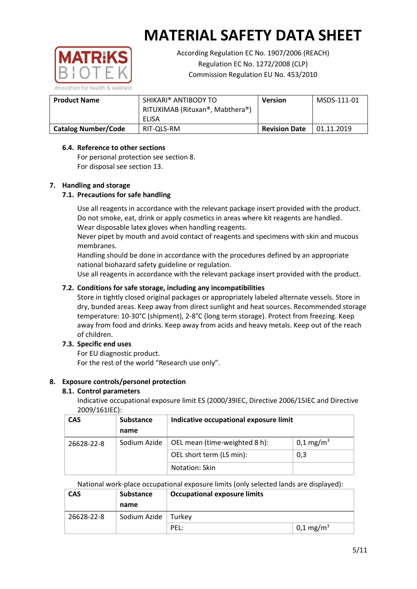

According Regulation EC No. 1907/2006 (REACH) Regulation EC No. 1272/2008 (CLP) Commission Regulation EU No. 453/2010

| <b>Product Name</b>        | SHIKARI® ANTIBODY TO<br>RITUXIMAB (Rituxan®, Mabthera®)<br>ELISA | <b>Version</b>       | MSDS-111-01 |
|----------------------------|------------------------------------------------------------------|----------------------|-------------|
| <b>Catalog Number/Code</b> | RIT-QLS-RM                                                       | <b>Revision Date</b> | 01.11.2019  |

## **6.4. Reference to other sections**

For personal protection see section 8. For disposal see section 13.

#### **7. Handling and storage**

#### **7.1. Precautions for safe handling**

Use all reagents in accordance with the relevant package insert provided with the product. Do not smoke, eat, drink or apply cosmetics in areas where kit reagents are handled. Wear disposable latex gloves when handling reagents.

Never pipet by mouth and avoid contact of reagents and specimens with skin and mucous membranes.

Handling should be done in accordance with the procedures defined by an appropriate national biohazard safety guideline or regulation.

Use all reagents in accordance with the relevant package insert provided with the product.

#### **7.2. Conditions for safe storage, including any incompatibilities**

Store in tightly closed original packages or appropriately labeled alternate vessels. Store in dry, bunded areas. Keep away from direct sunlight and heat sources. Recommended storage temperature: 10-30°C (shipment), 2-8°C (long term storage). Protect from freezing. Keep away from food and drinks. Keep away from acids and heavy metals. Keep out of the reach of children.

## **7.3. Specific end uses**

For EU diagnostic product. For the rest of the world "Research use only".

#### **8. Exposure controls/personel protection**

#### **8.1. Control parameters**

Indicative occupational exposure limit ES (2000/39IEC, Directive 2006/15IEC and Directive 2009/161IEC):

| <b>CAS</b> | <b>Substance</b> | Indicative occupational exposure limit |                       |
|------------|------------------|----------------------------------------|-----------------------|
|            | name             |                                        |                       |
| 26628-22-8 | Sodium Azide     | OEL mean (time-weighted 8 h):          | 0,1 mg/m <sup>3</sup> |
|            |                  | OEL short term (LS min):               | 0,3                   |
|            |                  | Notation: Skin                         |                       |

National work-place occupational exposure limits (only selected lands are displayed):

| <b>CAS</b> | <b>Substance</b><br>name | <b>Occupational exposure limits</b> |                       |
|------------|--------------------------|-------------------------------------|-----------------------|
| 26628-22-8 | Sodium Azide             | Turkev                              |                       |
|            |                          | PEL:                                | 0,1 mg/m <sup>3</sup> |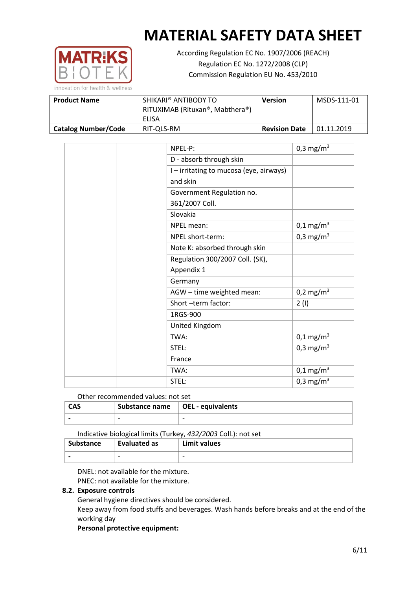

According Regulation EC No. 1907/2006 (REACH) Regulation EC No. 1272/2008 (CLP) Commission Regulation EU No. 453/2010

| <b>Product Name</b>        | SHIKARI® ANTIBODY TO<br>RITUXIMAB (Rituxan®, Mabthera®) | <b>Version</b>       | MSDS-111-01 |
|----------------------------|---------------------------------------------------------|----------------------|-------------|
|                            | ELISA                                                   |                      |             |
| <b>Catalog Number/Code</b> | RIT-QLS-RM                                              | <b>Revision Date</b> | 01.11.2019  |

| NPEL-P:                                 | 0,3 mg/m <sup>3</sup> |
|-----------------------------------------|-----------------------|
| D - absorb through skin                 |                       |
| I - irritating to mucosa (eye, airways) |                       |
| and skin                                |                       |
| Government Regulation no.               |                       |
| 361/2007 Coll.                          |                       |
| Slovakia                                |                       |
| NPEL mean:                              | $0,1 \text{ mg/m}^3$  |
| NPEL short-term:                        | 0,3 mg/m <sup>3</sup> |
| Note K: absorbed through skin           |                       |
| Regulation 300/2007 Coll. (SK),         |                       |
| Appendix 1                              |                       |
| Germany                                 |                       |
| AGW - time weighted mean:               | $0,2 \text{ mg/m}^3$  |
| Short -term factor:                     | 2(1)                  |
| 1RGS-900                                |                       |
| United Kingdom                          |                       |
| TWA:                                    | $0,1 \text{ mg/m}^3$  |
| STEL:                                   | 0,3 mg/m <sup>3</sup> |
| France                                  |                       |
| TWA:                                    | $0,1 \text{ mg/m}^3$  |
| STEL:                                   | 0,3 mg/m <sup>3</sup> |

Other recommended values: not set

| <b>CAS</b> | Substance name   OEL - equivalents |                          |
|------------|------------------------------------|--------------------------|
|            | $\overline{\phantom{0}}$           | $\overline{\phantom{0}}$ |

Indicative biological limits (Turkey, *432/2003* Coll.): not set

| Substance                | Evaluated as             | Limit values |
|--------------------------|--------------------------|--------------|
| $\overline{\phantom{0}}$ | $\overline{\phantom{0}}$ | -            |

DNEL: not available for the mixture.

PNEC: not available for the mixture.

## **8.2. Exposure controls**

General hygiene directives should be considered.

Keep away from food stuffs and beverages. Wash hands before breaks and at the end of the working day

#### **Personal protective equipment:**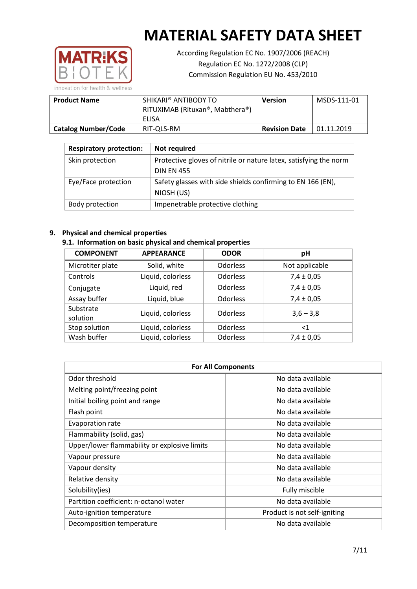

According Regulation EC No. 1907/2006 (REACH) Regulation EC No. 1272/2008 (CLP) Commission Regulation EU No. 453/2010

| <b>Product Name</b>        | SHIKARI® ANTIBODY TO<br>RITUXIMAB (Rituxan®, Mabthera®)<br>ELISA | Version              | MSDS-111-01 |
|----------------------------|------------------------------------------------------------------|----------------------|-------------|
| <b>Catalog Number/Code</b> | RIT-QLS-RM                                                       | <b>Revision Date</b> | 01.11.2019  |

| <b>Respiratory protection:</b> | Not required                                                      |
|--------------------------------|-------------------------------------------------------------------|
| Skin protection                | Protective gloves of nitrile or nature latex, satisfying the norm |
|                                | <b>DIN EN 455</b>                                                 |
| Eye/Face protection            | Safety glasses with side shields confirming to EN 166 (EN),       |
|                                | NIOSH (US)                                                        |
| Body protection                | Impenetrable protective clothing                                  |

#### **9. Physical and chemical properties**

## **9.1. Information on basic physical and chemical properties**

| <b>COMPONENT</b>      | <b>APPEARANCE</b> | <b>ODOR</b>     | pH             |
|-----------------------|-------------------|-----------------|----------------|
| Microtiter plate      | Solid, white      | <b>Odorless</b> | Not applicable |
| Controls              | Liquid, colorless | Odorless        | $7,4 \pm 0,05$ |
| Conjugate             | Liquid, red       | <b>Odorless</b> | $7,4 \pm 0,05$ |
| Assay buffer          | Liquid, blue      | Odorless        | $7,4 \pm 0,05$ |
| Substrate<br>solution | Liquid, colorless | <b>Odorless</b> | $3,6 - 3,8$    |
| Stop solution         | Liquid, colorless | <b>Odorless</b> | ${<}1$         |
| Wash buffer           | Liquid, colorless | <b>Odorless</b> | $7,4 \pm 0,05$ |

| <b>For All Components</b>                    |                              |  |  |
|----------------------------------------------|------------------------------|--|--|
| Odor threshold                               | No data available            |  |  |
| Melting point/freezing point                 | No data available            |  |  |
| Initial boiling point and range              | No data available            |  |  |
| Flash point                                  | No data available            |  |  |
| Evaporation rate                             | No data available            |  |  |
| Flammability (solid, gas)                    | No data available            |  |  |
| Upper/lower flammability or explosive limits | No data available            |  |  |
| Vapour pressure                              | No data available            |  |  |
| Vapour density                               | No data available            |  |  |
| Relative density                             | No data available            |  |  |
| Solubility(ies)                              | Fully miscible               |  |  |
| Partition coefficient: n-octanol water       | No data available            |  |  |
| Auto-ignition temperature                    | Product is not self-igniting |  |  |
| Decomposition temperature                    | No data available            |  |  |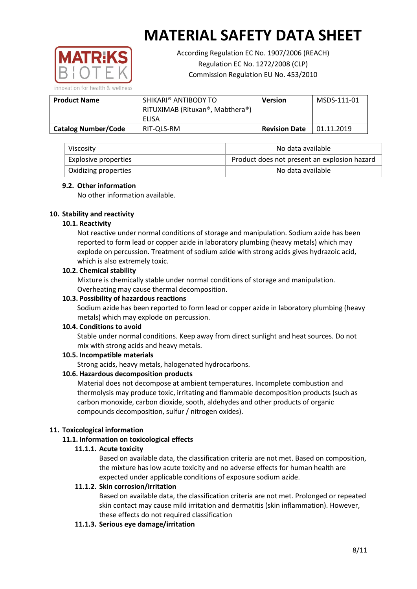

According Regulation EC No. 1907/2006 (REACH) Regulation EC No. 1272/2008 (CLP) Commission Regulation EU No. 453/2010

**Product Name SHIKARI® ANTIBODY TO** RITUXIMAB (Rituxan®, Mabthera®) ELISA **Version** MSDS-111-01 **Catalog Number/Code** RIT-QLS-RM Revision Date 01.11.2019

| Viscosity                   | No data available                            |
|-----------------------------|----------------------------------------------|
| <b>Explosive properties</b> | Product does not present an explosion hazard |
| Oxidizing properties        | No data available                            |

#### **9.2. Other information**

No other information available.

## **10. Stability and reactivity**

#### **10.1. Reactivity**

Not reactive under normal conditions of storage and manipulation. Sodium azide has been reported to form lead or copper azide in laboratory plumbing (heavy metals) which may explode on percussion. Treatment of sodium azide with strong acids gives hydrazoic acid, which is also extremely toxic.

#### **10.2. Chemical stability**

Mixture is chemically stable under normal conditions of storage and manipulation. Overheating may cause thermal decomposition.

### **10.3. Possibility of hazardous reactions**

Sodium azide has been reported to form lead or copper azide in laboratory plumbing (heavy metals) which may explode on percussion.

#### **10.4. Conditions to avoid**

Stable under normal conditions. Keep away from direct sunlight and heat sources. Do not mix with strong acids and heavy metals.

## **10.5. Incompatible materials**

Strong acids, heavy metals, halogenated hydrocarbons.

## **10.6. Hazardous decomposition products**

Material does not decompose at ambient temperatures. Incomplete combustion and thermolysis may produce toxic, irritating and flammable decomposition products (such as carbon monoxide, carbon dioxide, sooth, aldehydes and other products of organic compounds decomposition, sulfur / nitrogen oxides).

#### **11. Toxicological information**

## **11.1. Information on toxicological effects**

## **11.1.1. Acute toxicity**

Based on available data, the classification criteria are not met. Based on composition, the mixture has low acute toxicity and no adverse effects for human health are expected under applicable conditions of exposure sodium azide.

## **11.1.2. Skin corrosion/irritation**

Based on available data, the classification criteria are not met. Prolonged or repeated skin contact may cause mild irritation and dermatitis (skin inflammation). However, these effects do not required classification

## **11.1.3. Serious eye damage/irritation**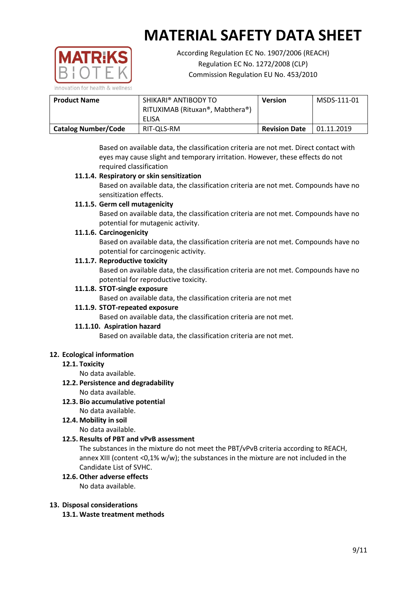

According Regulation EC No. 1907/2006 (REACH) Regulation EC No. 1272/2008 (CLP) Commission Regulation EU No. 453/2010

| <b>Product Name</b>        | SHIKARI® ANTIBODY TO<br>RITUXIMAB (Rituxan®, Mabthera®)<br>ELISA | <b>Version</b>       | MSDS-111-01 |
|----------------------------|------------------------------------------------------------------|----------------------|-------------|
| <b>Catalog Number/Code</b> | RIT-QLS-RM                                                       | <b>Revision Date</b> | 01.11.2019  |

Based on available data, the classification criteria are not met. Direct contact with eyes may cause slight and temporary irritation. However, these effects do not required classification

## **11.1.4. Respiratory or skin sensitization**

Based on available data, the classification criteria are not met. Compounds have no sensitization effects.

## **11.1.5. Germ cell mutagenicity**

Based on available data, the classification criteria are not met. Compounds have no potential for mutagenic activity.

## **11.1.6. Carcinogenicity**

Based on available data, the classification criteria are not met. Compounds have no potential for carcinogenic activity.

#### **11.1.7. Reproductive toxicity**

Based on available data, the classification criteria are not met. Compounds have no potential for reproductive toxicity.

## **11.1.8. STOT-single exposure**

Based on available data, the classification criteria are not met

## **11.1.9. STOT-repeated exposure**

Based on available data, the classification criteria are not met.

## **11.1.10. Aspiration hazard**

Based on available data, the classification criteria are not met.

## **12. Ecological information**

#### **12.1. Toxicity**

No data available.

## **12.2. Persistence and degradability**

No data available.

**12.3. Bio accumulative potential** No data available.

## **12.4. Mobility in soil**

No data available.

## **12.5. Results of PBT and vPvB assessment**

The substances in the mixture do not meet the PBT/vPvB criteria according to REACH, annex XIII (content <0,1% w/w); the substances in the mixture are not included in the Candidate List of SVHC.

## **12.6. Other adverse effects**

No data available.

#### **13. Disposal considerations**

**13.1. Waste treatment methods**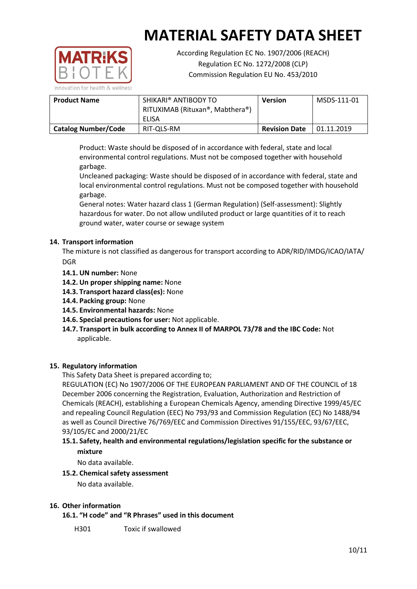

According Regulation EC No. 1907/2006 (REACH) Regulation EC No. 1272/2008 (CLP) Commission Regulation EU No. 453/2010

| <b>Product Name</b>        | SHIKARI® ANTIBODY TO<br>RITUXIMAB (Rituxan®, Mabthera®) | <b>Version</b>       | MSDS-111-01 |
|----------------------------|---------------------------------------------------------|----------------------|-------------|
|                            | ELISA                                                   |                      |             |
| <b>Catalog Number/Code</b> | RIT-OLS-RM                                              | <b>Revision Date</b> | 01.11.2019  |

Product: Waste should be disposed of in accordance with federal, state and local environmental control regulations. Must not be composed together with household garbage.

Uncleaned packaging: Waste should be disposed of in accordance with federal, state and local environmental control regulations. Must not be composed together with household garbage.

General notes: Water hazard class 1 (German Regulation) (Self-assessment): Slightly hazardous for water. Do not allow undiluted product or large quantities of it to reach ground water, water course or sewage system

## **14. Transport information**

The mixture is not classified as dangerous for transport according to ADR/RID/IMDG/ICAO/IATA/ DGR

- **14.1. UN number:** None
- **14.2. Un proper shipping name:** None
- **14.3. Transport hazard class(es):** None
- **14.4. Packing group:** None
- **14.5. Environmental hazards:** None
- **14.6. Special precautions for user:** Not applicable.
- **14.7. Transport in bulk according to Annex II of MARPOL 73/78 and the IBC Code:** Not applicable.

## **15. Regulatory information**

This Safety Data Sheet is prepared according to;

REGULATION (EC) No 1907/2006 OF THE EUROPEAN PARLIAMENT AND OF THE COUNCIL of 18 December 2006 concerning the Registration, Evaluation, Authorization and Restriction of Chemicals (REACH), establishing a European Chemicals Agency, amending Directive 1999/45/EC and repealing Council Regulation (EEC) No 793/93 and Commission Regulation (EC) No 1488/94 as well as Council Directive 76/769/EEC and Commission Directives 91/155/EEC, 93/67/EEC, 93/105/EC and 2000/21/EC

## **15.1. Safety, health and environmental regulations/legislation specific for the substance or mixture**

No data available.

## **15.2. Chemical safety assessment**

No data available.

#### **16. Other information**

**16.1. "H code" and "R Phrases" used in this document**

H301 Toxic if swallowed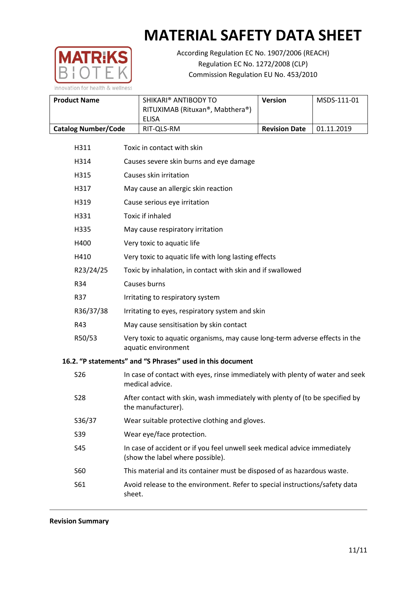

According Regulation EC No. 1907/2006 (REACH) Regulation EC No. 1272/2008 (CLP) Commission Regulation EU No. 453/2010

| <b>Product Name</b>        | SHIKARI® ANTIBODY TO<br>RITUXIMAB (Rituxan®, Mabthera®)<br>ELISA | <b>Version</b>       | MSDS-111-01 |
|----------------------------|------------------------------------------------------------------|----------------------|-------------|
| <b>Catalog Number/Code</b> | RIT-QLS-RM                                                       | <b>Revision Date</b> | 01.11.2019  |

- H311 Toxic in contact with skin H314 Causes severe skin burns and eye damage H315 Causes skin irritation H317 May cause an allergic skin reaction H319 Cause serious eye irritation H331 Toxic if inhaled H335 May cause respiratory irritation H400 Very toxic to aquatic life H410 Very toxic to aquatic life with long lasting effects R23/24/25 Toxic by inhalation, in contact with skin and if swallowed R34 Causes burns R37 Irritating to respiratory system R36/37/38 Irritating to eyes, respiratory system and skin R43 May cause sensitisation by skin contact R50/53 Very toxic to aquatic organisms, may cause long-term adverse effects in the aquatic environment **16.2. "P statements" and "S Phrases" used in this document** S26 In case of contact with eyes, rinse immediately with plenty of water and seek medical advice. S28 After contact with skin, wash immediately with plenty of (to be specified by the manufacturer). S36/37 Wear suitable protective clothing and gloves.
	- S39 Wear eye/face protection.
	- S45 In case of accident or if you feel unwell seek medical advice immediately (show the label where possible).
	- S60 This material and its container must be disposed of as hazardous waste.
	- S61 Avoid release to the environment. Refer to special instructions/safety data sheet.